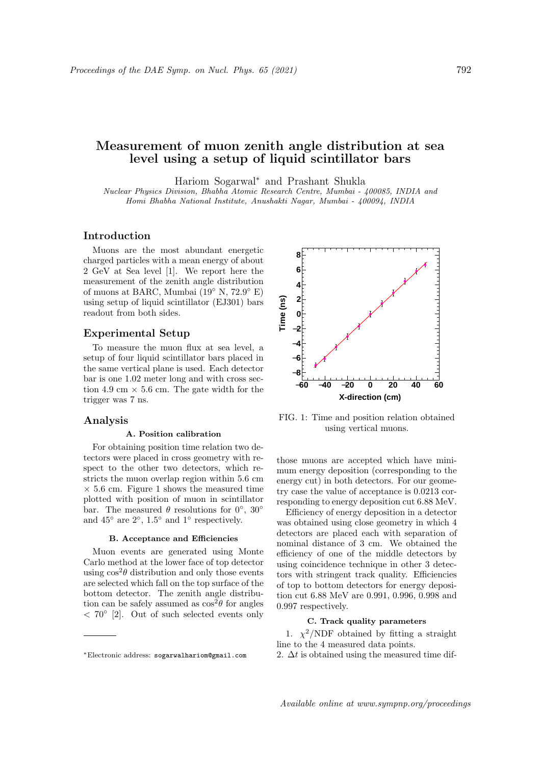# Measurement of muon zenith angle distribution at sea level using a setup of liquid scintillator bars

Hariom Sogarwal<sup>∗</sup> and Prashant Shukla

Nuclear Physics Division, Bhabha Atomic Research Centre, Mumbai - 400085, INDIA and Homi Bhabha National Institute, Anushakti Nagar, Mumbai - 400094, INDIA

# Introduction

Muons are the most abundant energetic charged particles with a mean energy of about 2 GeV at Sea level [1]. We report here the measurement of the zenith angle distribution of muons at BARC, Mumbai (19◦ N, 72.9◦ E) using setup of liquid scintillator (EJ301) bars readout from both sides.

# Experimental Setup

To measure the muon flux at sea level, a setup of four liquid scintillator bars placed in the same vertical plane is used. Each detector bar is one 1.02 meter long and with cross section 4.9 cm  $\times$  5.6 cm. The gate width for the trigger was 7 ns.

### Analysis

#### A. Position calibration

For obtaining position time relation two detectors were placed in cross geometry with respect to the other two detectors, which restricts the muon overlap region within 5.6 cm  $\times$  5.6 cm. Figure 1 shows the measured time plotted with position of muon in scintillator bar. The measured  $\theta$  resolutions for 0°, 30° and  $45^\circ$  are  $2^\circ$ ,  $1.5^\circ$  and  $1^\circ$  respectively.

## B. Acceptance and Efficiencies

Muon events are generated using Monte Carlo method at the lower face of top detector using  $\cos^2\theta$  distribution and only those events are selected which fall on the top surface of the bottom detector. The zenith angle distribution can be safely assumed as  $\cos^2\theta$  for angles < 70◦ [2]. Out of such selected events only



FIG. 1: Time and position relation obtained using vertical muons.

those muons are accepted which have minimum energy deposition (corresponding to the energy cut) in both detectors. For our geometry case the value of acceptance is 0.0213 corresponding to energy deposition cut 6.88 MeV.

Efficiency of energy deposition in a detector was obtained using close geometry in which 4 detectors are placed each with separation of nominal distance of 3 cm. We obtained the efficiency of one of the middle detectors by using coincidence technique in other 3 detectors with stringent track quality. Efficiencies of top to bottom detectors for energy deposition cut 6.88 MeV are 0.991, 0.996, 0.998 and 0.997 respectively.

### C. Track quality parameters

1.  $\chi^2/NDF$  obtained by fitting a straight line to the 4 measured data points.

2.  $\Delta t$  is obtained using the measured time dif-

<sup>∗</sup>Electronic address: sogarwalhariom@gmail.com